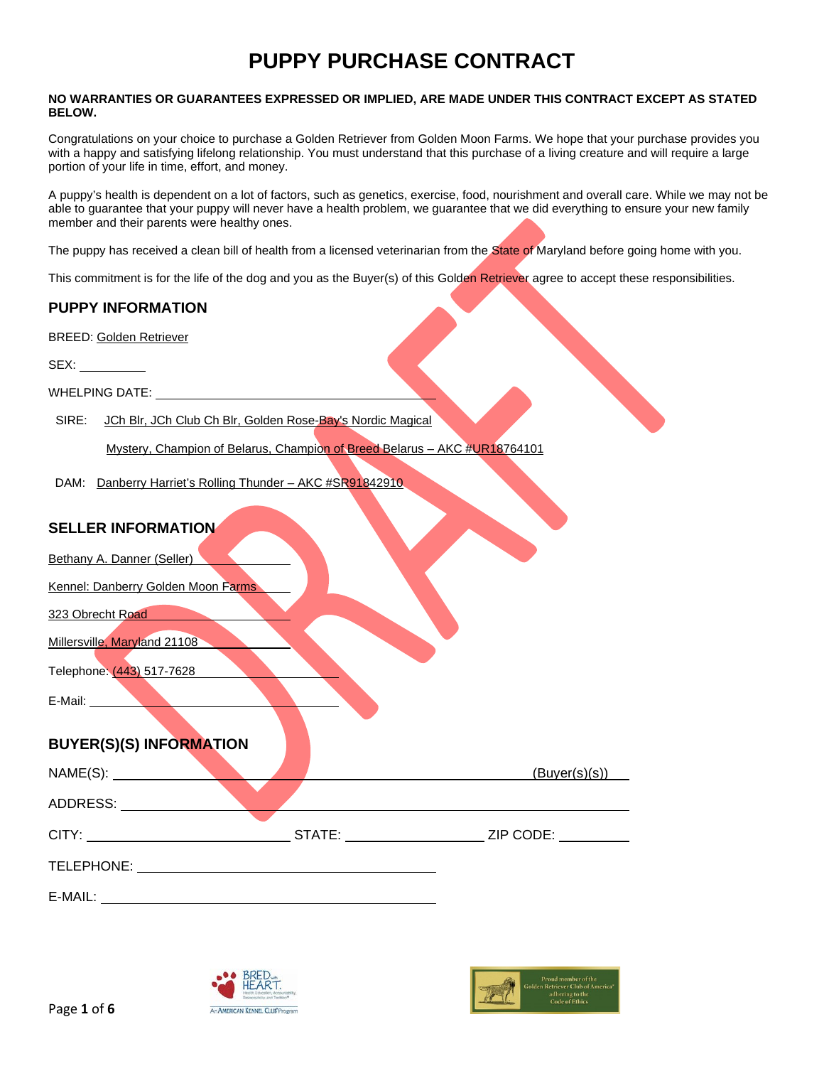#### **NO WARRANTIES OR GUARANTEES EXPRESSED OR IMPLIED, ARE MADE UNDER THIS CONTRACT EXCEPT AS STATED BELOW.**

Congratulations on your choice to purchase a Golden Retriever from Golden Moon Farms. We hope that your purchase provides you with a happy and satisfying lifelong relationship. You must understand that this purchase of a living creature and will require a large portion of your life in time, effort, and money.

A puppy's health is dependent on a lot of factors, such as genetics, exercise, food, nourishment and overall care. While we may not be able to guarantee that your puppy will never have a health problem, we guarantee that we did everything to ensure your new family member and their parents were healthy ones.

The puppy has received a clean bill of health from a licensed veterinarian from the State of Maryland before going home with you.

This commitment is for the life of the dog and you as the Buyer(s) of this Golden Retriever agree to accept these responsibilities.

## **PUPPY INFORMATION**

BREED: Golden Retriever

 $SEX:$ 

WHELPING DATE: \_\_\_\_\_

SIRE: JCh Blr, JCh Club Ch Blr, Golden Rose-Bay's Nordic Magical

Mystery, Champion of Belarus, Champion of Breed Belarus – AKC #UR18764101

DAM: Danberry Harriet's Rolling Thunder - AKC #SR91842910

## **SELLER INFORMATION**

| Bethany A. Danner (Seller) |  |
|----------------------------|--|
|----------------------------|--|

Kennel: Danberry Golden Moon Farms

323 Obrecht Road

Millersville, Maryland 21108

Telephone: (443) 517-7628

E-Mail:

## **BUYER(S)(S) INFORMATION**

|            |        | (Buyer(s)(s)) |
|------------|--------|---------------|
| ADDRESS:   |        |               |
| CITY:      | STATE: | ZIP CODE:     |
| TELEPHONE: |        |               |
| E-MAIL:    |        |               |



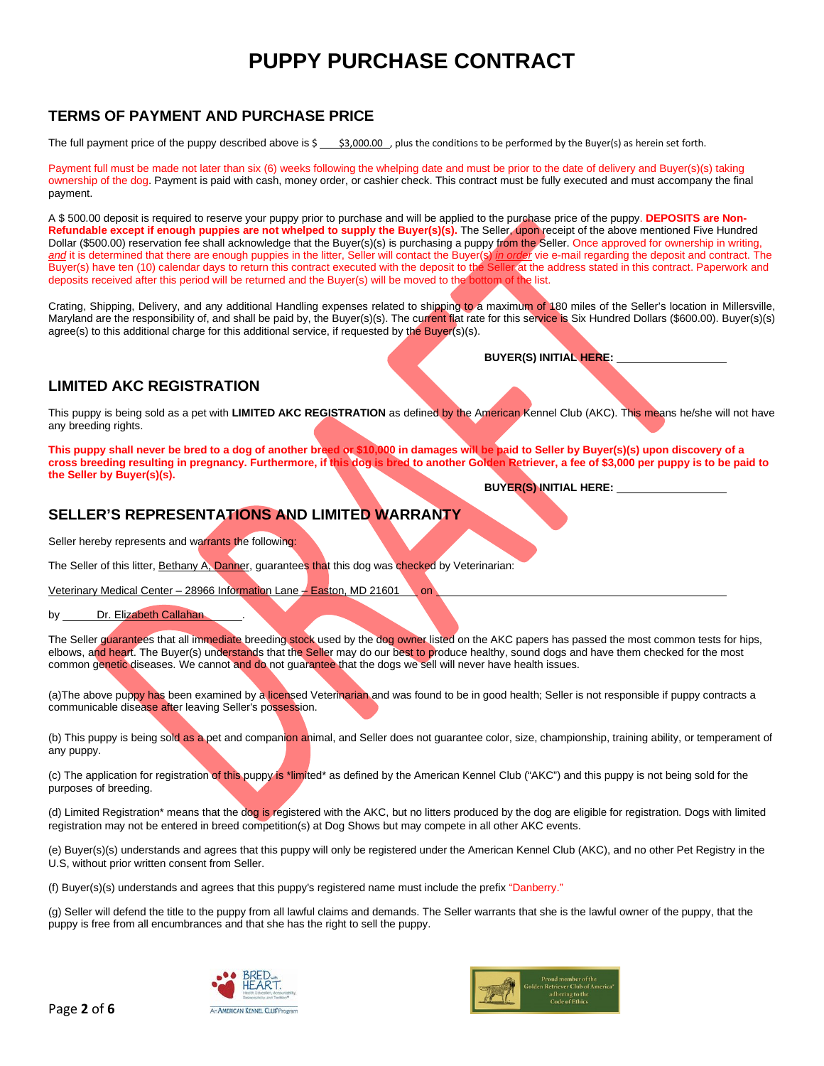#### **TERMS OF PAYMENT AND PURCHASE PRICE**

The full payment price of the puppy described above is  $\frac{1}{5}$ , \$3,000.00 , plus the conditions to be performed by the Buyer(s) as herein set forth.

Payment full must be made not later than six (6) weeks following the whelping date and must be prior to the date of delivery and Buyer(s)(s) taking ownership of the dog. Payment is paid with cash, money order, or cashier check. This contract must be fully executed and must accompany the final payment.

A \$ 500.00 deposit is required to reserve your puppy prior to purchase and will be applied to the purchase price of the puppy. **DEPOSITS are Non-Refundable except if enough puppies are not whelped to supply the Buyer(s)(s).** The Seller, upon receipt of the above mentioned Five Hundred Dollar (\$500.00) reservation fee shall acknowledge that the Buyer(s)(s) is purchasing a puppy from the Seller. Once approved for ownership in writing, *and* it is determined that there are enough puppies in the litter, Seller will contact the Buyer(s) *in order* vie e-mail regarding the deposit and contract. The Buyer(s) have ten (10) calendar days to return this contract executed with the deposit to the Seller at the address stated in this contract. Paperwork and deposits received after this period will be returned and the Buyer(s) will be moved to the bottom of the list.

Crating, Shipping, Delivery, and any additional Handling expenses related to shipping to a maximum of 180 miles of the Seller's location in Millersville, Maryland are the responsibility of, and shall be paid by, the Buyer(s)(s). The current flat rate for this service is Six Hundred Dollars (\$600.00). Buyer(s)(s) agree(s) to this additional charge for this additional service, if requested by the Buyer(s)(s).

**BUYER(S) INITIAL HERE:** 

#### **LIMITED AKC REGISTRATION**

This puppy is being sold as a pet with **LIMITED AKC REGISTRATION** as defined by the American Kennel Club (AKC). This means he/she will not have any breeding rights.

**This puppy shall never be bred to a dog of another breed or \$10,000 in damages will be paid to Seller by Buyer(s)(s) upon discovery of a cross breeding resulting in pregnancy. Furthermore, if this dog is bred to another Golden Retriever, a fee of \$3,000 per puppy is to be paid to the Seller by Buyer(s)(s).**

**BUYER(S) INITIAL HERE:** 

## **SELLER'S REPRESENTATIONS AND LIMITED WARRANTY**

Seller hereby represents and warrants the following:

The Seller of this litter, Bethany A, Danner, guarantees that this dog was checked by Veterinarian:

Veterinary Medical Center – 28966 Information Lane – Easton, MD 21601 on

by Dr. Elizabeth Callahan

The Seller guarantees that all immediate breeding stock used by the dog owner listed on the AKC papers has passed the most common tests for hips, elbows, and heart. The Buyer(s) understands that the Seller may do our best to produce healthy, sound dogs and have them checked for the most common genetic diseases. We cannot and do not guarantee that the dogs we sell will never have health issues.

(a)The above puppy has been examined by a licensed Veterinarian and was found to be in good health; Seller is not responsible if puppy contracts a communicable disease after leaving Seller's possession.

(b) This puppy is being sold as a pet and companion animal, and Seller does not guarantee color, size, championship, training ability, or temperament of any puppy.

(c) The application for registration of this puppy is \*limited\* as defined by the American Kennel Club ("AKC") and this puppy is not being sold for the purposes of breeding.

(d) Limited Registration\* means that the dog is registered with the AKC, but no litters produced by the dog are eligible for registration. Dogs with limited registration may not be entered in breed competition(s) at Dog Shows but may compete in all other AKC events.

(e) Buyer(s)(s) understands and agrees that this puppy will only be registered under the American Kennel Club (AKC), and no other Pet Registry in the U.S, without prior written consent from Seller.

(f) Buyer(s)(s) understands and agrees that this puppy's registered name must include the prefix "Danberry."

(g) Seller will defend the title to the puppy from all lawful claims and demands. The Seller warrants that she is the lawful owner of the puppy, that the puppy is free from all encumbrances and that she has the right to sell the puppy.



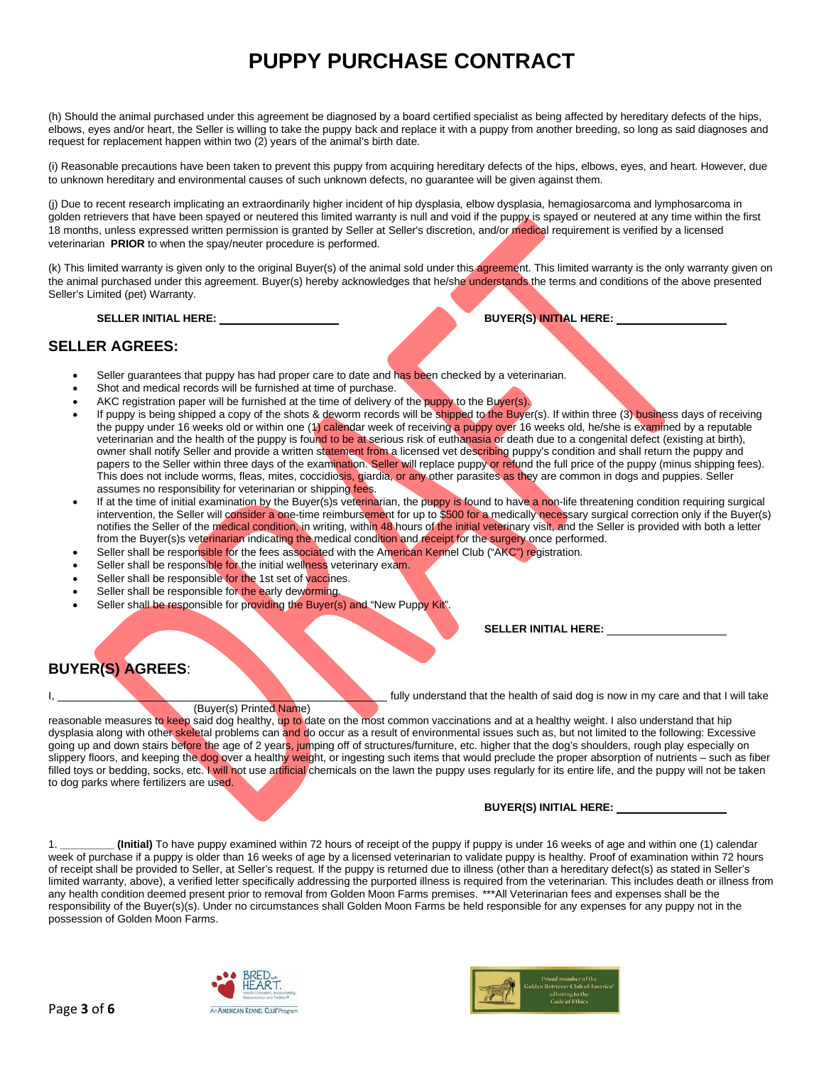(h) Should the animal purchased under this agreement be diagnosed by a board certified specialist as being affected by hereditary defects of the hips, elbows, eyes and/or heart, the Seller is willing to take the puppy back and replace it with a puppy from another breeding, so long as said diagnoses and request for replacement happen within two (2) years of the animal's birth date.

(i) Reasonable precautions have been taken to prevent this puppy from acquiring hereditary defects of the hips, elbows, eyes, and heart. However, due to unknown hereditary and environmental causes of such unknown defects, no guarantee will be given against them.

(j) Due to recent research implicating an extraordinarily higher incident of hip dysplasia, elbow dysplasia, hemagiosarcoma and lymphosarcoma in golden retrievers that have been spayed or neutered this limited warranty is null and void if the puppy is spayed or neutered at any time within the first 18 months, unless expressed written permission is granted by Seller at Seller's discretion, and/or medical requirement is verified by a licensed veterinarian **PRIOR** to when the spay/neuter procedure is performed.

(k) This limited warranty is given only to the original Buyer(s) of the animal sold under this agreement. This limited warranty is the only warranty given on the animal purchased under this agreement. Buyer(s) hereby acknowledges that he/she understands the terms and conditions of the above presented Seller's Limited (pet) Warranty.

**SELLER INITIAL HERE: BUYER(S) INITIAL HERE:** 

#### **SELLER AGREES:**

- Seller guarantees that puppy has had proper care to date and has been checked by a veterinarian.
- Shot and medical records will be furnished at time of purchase.
- AKC registration paper will be furnished at the time of delivery of the puppy to the Buyer(s).
- If puppy is being shipped a copy of the shots & deworm records will be shipped to the Buyer(s). If within three (3) business days of receiving the puppy under 16 weeks old or within one (1) calendar week of receiving a puppy over 16 weeks old, he/she is examined by a reputable veterinarian and the health of the puppy is found to be at serious risk of euthanasia or death due to a congenital defect (existing at birth), owner shall notify Seller and provide a written statement from a licensed vet describing puppy's condition and shall return the puppy and papers to the Seller within three days of the examination. Seller will replace puppy or refund the full price of the puppy (minus shipping fees). This does not include worms, fleas, mites, coccidiosis, giardia, or any other parasites as they are common in dogs and puppies. Seller assumes no responsibility for veterinarian or shipping fees.
- If at the time of initial examination by the Buyer(s)s veterinarian, the puppy is found to have a non-life threatening condition requiring surgical intervention, the Seller will consider a one-time reimbursement for up to \$500 for a medically necessary surgical correction only if the Buyer(s) notifies the Seller of the medical condition, in writing, within 48 hours of the initial veterinary visit, and the Seller is provided with both a letter from the Buyer(s)s veterinarian indicating the medical condition and receipt for the surgery once performed.
- Seller shall be responsible for the fees associated with the American Kennel Club ("AKC") registration.
- Seller shall be responsible for the initial wellness veterinary exam.
- Seller shall be responsible for the 1st set of vaccines.
- Seller shall be responsible for the early deworming.
- Seller shall be responsible for providing the Buyer(s) and "New Puppy Kit".

**SELLER INITIAL HERE:** 

## **BUYER(S) AGREES**:

(Buyer(s) Printed Name)

fully understand that the health of said dog is now in my care and that I will take

reasonable measures to keep said dog healthy, up to date on the most common vaccinations and at a healthy weight. I also understand that hip dysplasia along with other skeletal problems can and do occur as a result of environmental issues such as, but not limited to the following: Excessive going up and down stairs before the age of 2 years, jumping off of structures/furniture, etc. higher that the dog's shoulders, rough play especially on slippery floors, and keeping the dog over a healthy weight, or ingesting such items that would preclude the proper absorption of nutrients – such as fiber filled toys or bedding, socks, etc. I will not use artificial chemicals on the lawn the puppy uses regularly for its entire life, and the puppy will not be taken to dog parks where fertilizers are used.

#### **BUYER(S) INITIAL HERE:**

1. **\_\_\_\_\_\_\_\_\_ (Initial)** To have puppy examined within 72 hours of receipt of the puppy if puppy is under 16 weeks of age and within one (1) calendar week of purchase if a puppy is older than 16 weeks of age by a licensed veterinarian to validate puppy is healthy. Proof of examination within 72 hours of receipt shall be provided to Seller, at Seller's request. If the puppy is returned due to illness (other than a hereditary defect(s) as stated in Seller's limited warranty, above), a verified letter specifically addressing the purported illness is required from the veterinarian. This includes death or illness from any health condition deemed present prior to removal from Golden Moon Farms premises. \*\*\*All Veterinarian fees and expenses shall be the responsibility of the Buyer(s)(s). Under no circumstances shall Golden Moon Farms be held responsible for any expenses for any puppy not in the possession of Golden Moon Farms.



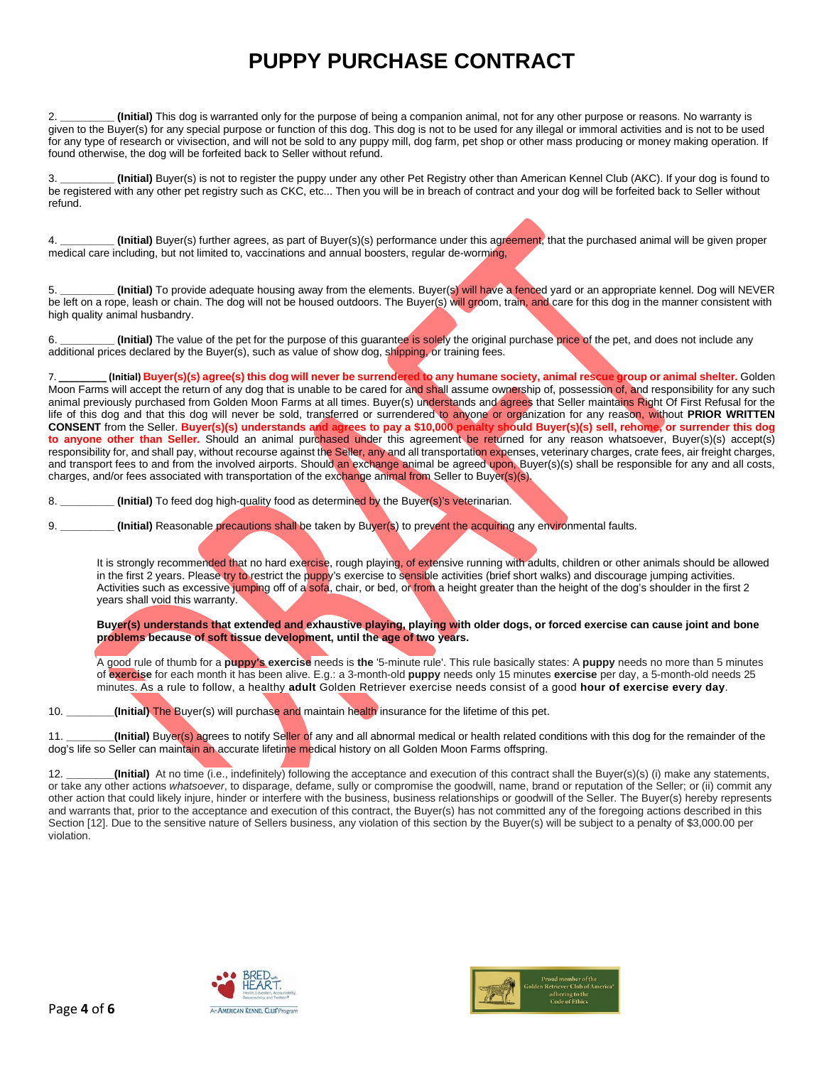2. **\_\_\_\_\_\_\_\_\_ (Initial)** This dog is warranted only for the purpose of being a companion animal, not for any other purpose or reasons. No warranty is given to the Buyer(s) for any special purpose or function of this dog. This dog is not to be used for any illegal or immoral activities and is not to be used for any type of research or vivisection, and will not be sold to any puppy mill, dog farm, pet shop or other mass producing or money making operation. If found otherwise, the dog will be forfeited back to Seller without refund.

3. **\_\_\_\_\_\_\_\_\_ (Initial)** Buyer(s) is not to register the puppy under any other Pet Registry other than American Kennel Club (AKC). If your dog is found to be registered with any other pet registry such as CKC, etc... Then you will be in breach of contract and your dog will be forfeited back to Seller without refund.

4. **\_\_\_\_\_\_\_\_\_ (Initial)** Buyer(s) further agrees, as part of Buyer(s)(s) performance under this agreement, that the purchased animal will be given proper medical care including, but not limited to, vaccinations and annual boosters, regular de-worming,

(Initial) To provide adequate housing away from the elements. Buyer(s) will have a fenced yard or an appropriate kennel. Dog will NEVER be left on a rope, leash or chain. The dog will not be housed outdoors. The Buyer(s) will groom, train, and care for this dog in the manner consistent with high quality animal husbandry.

6. **\_\_\_\_\_\_\_\_\_ (Initial)** The value of the pet for the purpose of this guarantee is solely the original purchase price of the pet, and does not include any additional prices declared by the Buyer(s), such as value of show dog, shipping, or training fees.

7. **\_\_\_\_\_\_\_\_\_ (Initial) Buyer(s)(s) agree(s) this dog will never be surrendered to any humane society, animal rescue group or animal shelter.** Golden Moon Farms will accept the return of any dog that is unable to be cared for and shall assume ownership of, possession of, and responsibility for any such animal previously purchased from Golden Moon Farms at all times. Buyer(s) understands and agrees that Seller maintains Right Of First Refusal for the life of this dog and that this dog will never be sold, transferred or surrendered to anyone or organization for any reason, without **PRIOR WRITTEN CONSENT** from the Seller. **Buyer(s)(s) understands and agrees to pay a \$10,000 penalty should Buyer(s)(s) sell, rehome, or surrender this dog to anyone other than Seller.** Should an animal purchased under this agreement be returned for any reason whatsoever, Buyer(s)(s) accept(s) responsibility for, and shall pay, without recourse against the Seller, any and all transportation expenses, veterinary charges, crate fees, air freight charges, and transport fees to and from the involved airports. Should an exchange animal be agreed upon, Buyer(s)(s) shall be responsible for any and all costs, charges, and/or fees associated with transportation of the exchange animal from Seller to Buyer(s)(s).

8. **\_\_\_\_\_\_\_\_\_ (Initial)** To feed dog high-quality food as determined by the Buyer(s)'s veterinarian.

9. **\_\_\_\_\_\_\_\_\_ (Initial)** Reasonable precautions shall be taken by Buyer(s) to prevent the acquiring any environmental faults.

It is strongly recommended that no hard exercise, rough playing, of extensive running with adults, children or other animals should be allowed in the first 2 years. Please try to restrict the puppy's exercise to sensible activities (brief short walks) and discourage jumping activities. Activities such as excessive jumping off of a sofa, chair, or bed, or from a height greater than the height of the dog's shoulder in the first 2 years shall void this warranty.

**Buyer(s) understands that extended and exhaustive playing, playing with older dogs, or forced exercise can cause joint and bone problems because of soft tissue development, until the age of two years.**

A good rule of thumb for a **puppy's exercise** needs is **the** '5-minute rule'. This rule basically states: A **puppy** needs no more than 5 minutes of **exercise** for each month it has been alive. E.g.: a 3-month-old **puppy** needs only 15 minutes **exercise** per day, a 5-month-old needs 25 minutes. As a rule to follow, a healthy **adult** Golden Retriever exercise needs consist of a good **hour of exercise every day**.

10. **\_\_\_\_\_\_\_\_(Initial)** The Buyer(s) will purchase and maintain health insurance for the lifetime of this pet.

11. **\_\_\_\_\_\_\_\_(Initial)** Buyer(s) agrees to notify Seller of any and all abnormal medical or health related conditions with this dog for the remainder of the dog's life so Seller can maintain an accurate lifetime medical history on all Golden Moon Farms offspring.

12. **\_\_\_\_\_\_\_\_(Initial)** At no time (i.e., indefinitely) following the acceptance and execution of this contract shall the Buyer(s)(s) (i) make any statements, or take any other actions *whatsoever*, to disparage, defame, sully or compromise the goodwill, name, brand or reputation of the Seller; or (ii) commit any other action that could likely injure, hinder or interfere with the business, business relationships or goodwill of the Seller. The Buyer(s) hereby represents and warrants that, prior to the acceptance and execution of this contract, the Buyer(s) has not committed any of the foregoing actions described in this Section [12]. Due to the sensitive nature of Sellers business, any violation of this section by the Buyer(s) will be subject to a penalty of \$3,000.00 per violation.



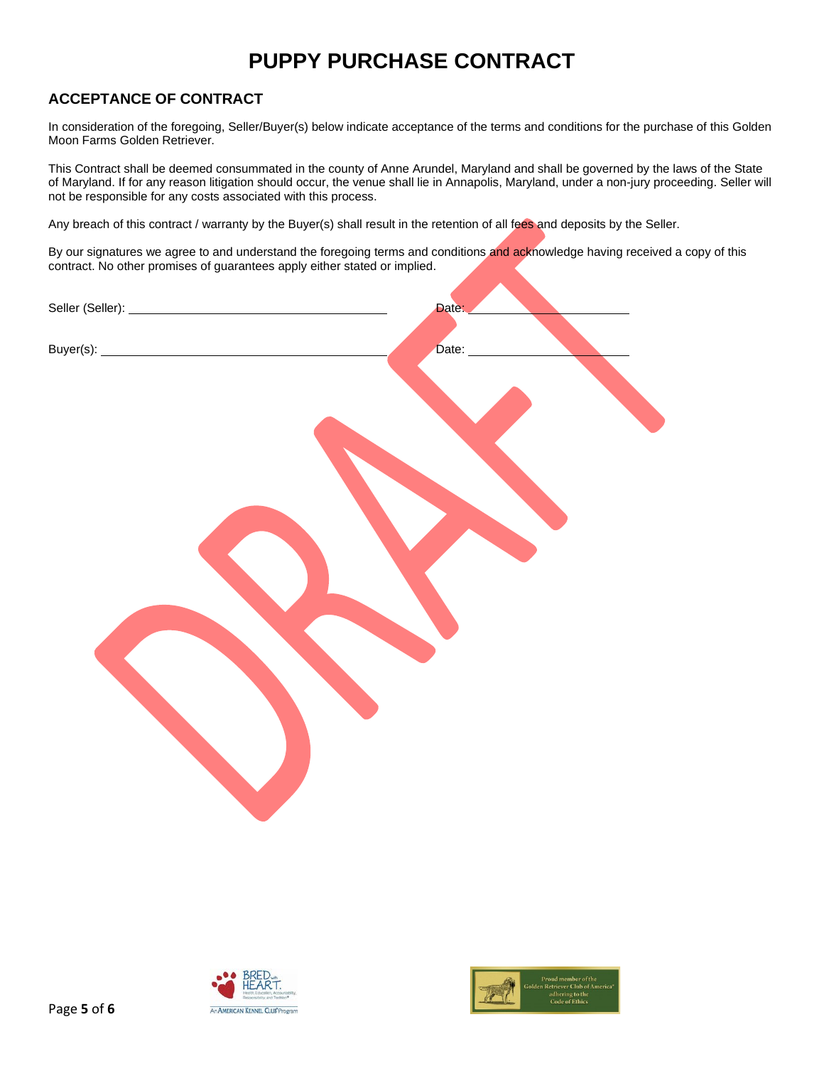## **ACCEPTANCE OF CONTRACT**

In consideration of the foregoing, Seller/Buyer(s) below indicate acceptance of the terms and conditions for the purchase of this Golden Moon Farms Golden Retriever.

This Contract shall be deemed consummated in the county of Anne Arundel, Maryland and shall be governed by the laws of the State of Maryland. If for any reason litigation should occur, the venue shall lie in Annapolis, Maryland, under a non-jury proceeding. Seller will not be responsible for any costs associated with this process.

Any breach of this contract / warranty by the Buyer(s) shall result in the retention of all fees and deposits by the Seller.

By our signatures we agree to and understand the foregoing terms and conditions and acknowledge having received a copy of this contract. No other promises of guarantees apply either stated or implied.

| Date: |
|-------|
| Date: |
|       |
|       |
|       |
|       |
|       |
|       |
|       |
|       |
|       |
|       |
|       |